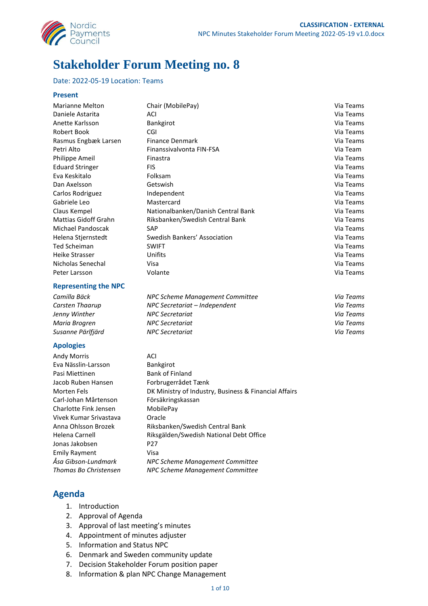

## **Stakeholder Forum Meeting no. 8**

#### Date: 2022-05-19 Location: Teams

#### **Present**

| <b>Marianne Melton</b>      | Chair (MobilePay)                                     | Via Teams |
|-----------------------------|-------------------------------------------------------|-----------|
| Daniele Astarita            | ACI                                                   | Via Teams |
| Anette Karlsson             | Bankgirot                                             | Via Teams |
| Robert Book                 | CGI                                                   | Via Teams |
| Rasmus Engbæk Larsen        | Finance Denmark                                       | Via Teams |
| Petri Alto                  | Finanssivalvonta FIN-FSA                              | Via Team  |
| Philippe Ameil              | Finastra                                              | Via Teams |
| <b>Eduard Stringer</b>      | <b>FIS</b>                                            | Via Teams |
| Eva Keskitalo               | Folksam                                               | Via Teams |
| Dan Axelsson                | Getswish                                              | Via Teams |
| Carlos Rodriguez            | Independent                                           | Via Teams |
| Gabriele Leo                | Mastercard                                            | Via Teams |
| Claus Kempel                | Nationalbanken/Danish Central Bank                    | Via Teams |
| <b>Mattias Gidoff Grahn</b> | Riksbanken/Swedish Central Bank                       | Via Teams |
| <b>Michael Pandoscak</b>    | SAP                                                   | Via Teams |
| Helena Stjernstedt          | Swedish Bankers' Association                          | Via Teams |
| <b>Ted Scheiman</b>         | <b>SWIFT</b>                                          | Via Teams |
| <b>Heike Strasser</b>       | Unifits                                               | Via Teams |
| Nicholas Senechal           | Visa                                                  | Via Teams |
| Peter Larsson               | Volante                                               | Via Teams |
| <b>Representing the NPC</b> |                                                       |           |
| Camilla Bäck                | NPC Scheme Management Committee                       | Via Teams |
| Carsten Thaarup             | NPC Secretariat – Independent                         | Via Teams |
| Jenny Winther               | <b>NPC Secretariat</b>                                | Via Teams |
| Maria Brogren               | <b>NPC Secretariat</b>                                | Via Teams |
| Susanne Pärlfjärd           | <b>NPC Secretariat</b>                                | Via Teams |
| <b>Apologies</b>            |                                                       |           |
| <b>Andy Morris</b>          | ACI                                                   |           |
| Eva Nässlin-Larsson         | Bankgirot                                             |           |
| Pasi Miettinen              | <b>Bank of Finland</b>                                |           |
| Jacob Ruben Hansen          | Forbrugerrådet Tænk                                   |           |
| <b>Morten Fels</b>          | DK Ministry of Industry, Business & Financial Affairs |           |
| Carl-Johan Mårtenson        | Försäkringskassan                                     |           |
| Charlotte Fink Jensen       | MobilePay                                             |           |
| Vivek Kumar Srivastava      | Oracle                                                |           |
|                             | .                                                     |           |

Anna Ohlsson Brozek Riksbanken/Swedish Central Bank Helena Carnell **Riksgälden/Swedish National Debt Office** 

Jonas Jakobsen P27 Emily Rayment Visa<br> *Åsa Gibson-Lundmark* NPC *Åsa Gibson-Lundmark NPC Scheme Management Committee Thomas Bo Christensen NPC Scheme Management Committee*

#### **Agenda**

- 1. Introduction
- 2. Approval of Agenda
- 3. Approval of last meeting's minutes
- 4. Appointment of minutes adjuster
- 5. Information and Status NPC
- 6. Denmark and Sweden community update
- 7. Decision Stakeholder Forum position paper
- 8. Information & plan NPC Change Management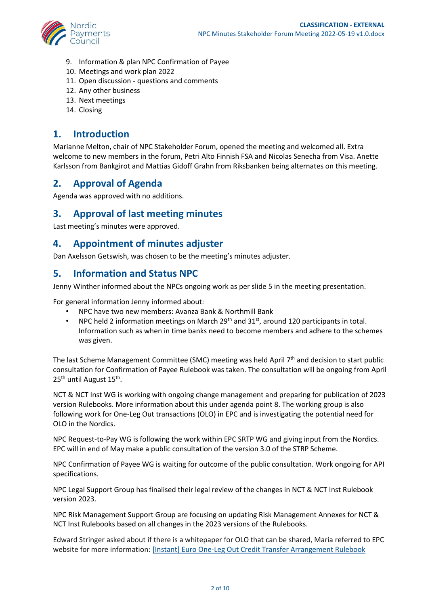

- 9. Information & plan NPC Confirmation of Payee
- 10. Meetings and work plan 2022
- 11. Open discussion questions and comments
- 12. Any other business
- 13. Next meetings
- 14. Closing

#### **1. Introduction**

Marianne Melton, chair of NPC Stakeholder Forum, opened the meeting and welcomed all. Extra welcome to new members in the forum, Petri Alto Finnish FSA and Nicolas Senecha from Visa. Anette Karlsson from Bankgirot and Mattias Gidoff Grahn from Riksbanken being alternates on this meeting.

## **2. Approval of Agenda**

Agenda was approved with no additions.

#### **3. Approval of last meeting minutes**

Last meeting's minutes were approved.

#### **4. Appointment of minutes adjuster**

Dan Axelsson Getswish, was chosen to be the meeting's minutes adjuster.

#### **5. Information and Status NPC**

Jenny Winther informed about the NPCs ongoing work as per slide 5 in the meeting presentation.

For general information Jenny informed about:

- NPC have two new members: Avanza Bank & Northmill Bank
- NPC held 2 information meetings on March 29<sup>th</sup> and 31<sup>st</sup>, around 120 participants in total. Information such as when in time banks need to become members and adhere to the schemes was given.

The last Scheme Management Committee (SMC) meeting was held April 7<sup>th</sup> and decision to start public consultation for Confirmation of Payee Rulebook was taken. The consultation will be ongoing from April 25<sup>th</sup> until August 15<sup>th</sup>.

NCT & NCT Inst WG is working with ongoing change management and preparing for publication of 2023 version Rulebooks. More information about this under agenda point 8. The working group is also following work for One-Leg Out transactions (OLO) in EPC and is investigating the potential need for OLO in the Nordics.

NPC Request-to-Pay WG is following the work within EPC SRTP WG and giving input from the Nordics. EPC will in end of May make a public consultation of the version 3.0 of the STRP Scheme.

NPC Confirmation of Payee WG is waiting for outcome of the public consultation. Work ongoing for API specifications.

NPC Legal Support Group has finalised their legal review of the changes in NCT & NCT Inst Rulebook version 2023.

NPC Risk Management Support Group are focusing on updating Risk Management Annexes for NCT & NCT Inst Rulebooks based on all changes in the 2023 versions of the Rulebooks.

Edward Stringer asked about if there is a whitepaper for OLO that can be shared, Maria referred to EPC website for more information[: \[Instant\] Euro One-Leg Out Credit Transfer Arrangement Rulebook](https://www.europeanpaymentscouncil.eu/sites/default/files/kb/file/2022-01/EPC145-21%20%5BInstant%5D%20Euro%20One-Leg%20Out%20Credit%20Transfer%20Arrangement%20Rulebook%20v0.1%20-%20for%20public%20consultation.pdf)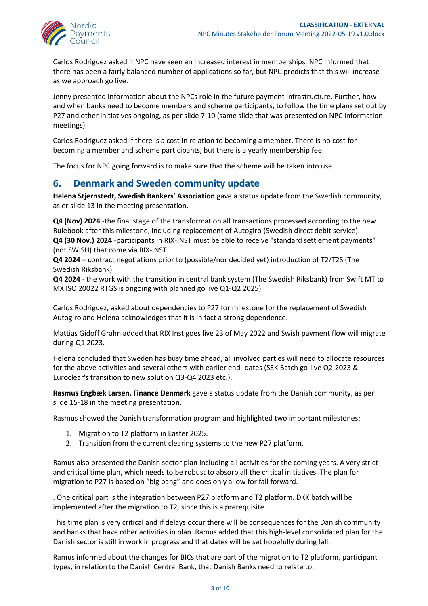

Carlos Rodriguez asked if NPC have seen an increased interest in memberships. NPC informed that there has been a fairly balanced number of applications so far, but NPC predicts that this will increase as we approach go live.

Jenny presented information about the NPCs role in the future payment infrastructure. Further, how and when banks need to become members and scheme participants, to follow the time plans set out by P27 and other initiatives ongoing, as per slide 7-10 (same slide that was presented on NPC Information meetings).

Carlos Rodriguez asked if there is a cost in relation to becoming a member. There is no cost for becoming a member and scheme participants, but there is a yearly membership fee.

The focus for NPC going forward is to make sure that the scheme will be taken into use.

## **6. Denmark and Sweden community update**

**Helena Stjernstedt, Swedish Bankers' Association** gave a status update from the Swedish community, as er slide 13 in the meeting presentation.

**Q4 (Nov) 2024** -the final stage of the transformation all transactions processed according to the new Rulebook after this milestone, including replacement of Autogiro (Swedish direct debit service). **Q4 (30 Nov.) 2024** -participants in RIX-INST must be able to receive "standard settlement payments" (not SWISH) that come via RIX-INST

**Q4 2024** – contract negotiations prior to (possible/nor decided yet) introduction of T2/T2S (The Swedish Riksbank)

**Q4 2024** - the work with the transition in central bank system (The Swedish Riksbank) from Swift MT to MX ISO 20022 RTGS is ongoing with planned go live Q1-Q2 2025)

Carlos Rodriguez, asked about dependencies to P27 for milestone for the replacement of Swedish Autogiro and Helena acknowledges that it is in fact a strong dependence.

Mattias Gidoff Grahn added that RIX Inst goes live 23 of May 2022 and Swish payment flow will migrate during Q1 2023.

Helena concluded that Sweden has busy time ahead, all involved parties will need to allocate resources for the above activities and several others with earlier end- dates (SEK Batch go-live Q2-2023 & Euroclear's transition to new solution Q3-Q4 2023 etc.).

**Rasmus Engbæk Larsen, Finance Denmark** gave a status update from the Danish community, as per slide 15-18 in the meeting presentation.

Rasmus showed the Danish transformation program and highlighted two important milestones:

- 1. Migration to T2 platform in Easter 2025.
- 2. Transition from the current clearing systems to the new P27 platform.

Ramus also presented the Danish sector plan including all activities for the coming years. A very strict and critical time plan, which needs to be robust to absorb all the critical initiatives. The plan for migration to P27 is based on "big bang" and does only allow for fall forward.

. One critical part is the integration between P27 platform and T2 platform. DKK batch will be implemented after the migration to T2, since this is a prerequisite.

This time plan is very critical and if delays occur there will be consequences for the Danish community and banks that have other activities in plan. Ramus added that this high-level consolidated plan for the Danish sector is still in work in progress and that dates will be set hopefully during fall.

Ramus informed about the changes for BICs that are part of the migration to T2 platform, participant types, in relation to the Danish Central Bank, that Danish Banks need to relate to.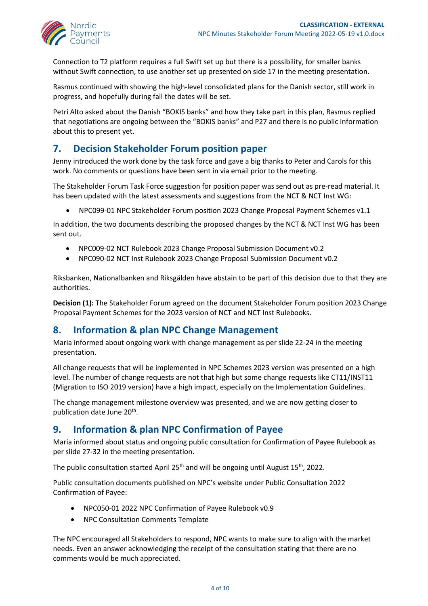

Connection to T2 platform requires a full Swift set up but there is a possibility, for smaller banks without Swift connection, to use another set up presented on side 17 in the meeting presentation.

Rasmus continued with showing the high-level consolidated plans for the Danish sector, still work in progress, and hopefully during fall the dates will be set.

Petri Alto asked about the Danish "BOKIS banks" and how they take part in this plan, Rasmus replied that negotiations are ongoing between the "BOKIS banks" and P27 and there is no public information about this to present yet.

## **7. Decision Stakeholder Forum position paper**

Jenny introduced the work done by the task force and gave a big thanks to Peter and Carols for this work. No comments or questions have been sent in via email prior to the meeting.

The Stakeholder Forum Task Force suggestion for position paper was send out as pre-read material. It has been updated with the latest assessments and suggestions from the NCT & NCT Inst WG:

• NPC099-01 NPC Stakeholder Forum position 2023 Change Proposal Payment Schemes v1.1

In addition, the two documents describing the proposed changes by the NCT & NCT Inst WG has been sent out.

- NPC009-02 NCT Rulebook 2023 Change Proposal Submission Document v0.2
- NPC090-02 NCT Inst Rulebook 2023 Change Proposal Submission Document v0.2

Riksbanken, Nationalbanken and Riksgälden have abstain to be part of this decision due to that they are authorities.

**Decision (1):** The Stakeholder Forum agreed on the document Stakeholder Forum position 2023 Change Proposal Payment Schemes for the 2023 version of NCT and NCT Inst Rulebooks.

#### **8. Information & plan NPC Change Management**

Maria informed about ongoing work with change management as per slide 22-24 in the meeting presentation.

All change requests that will be implemented in NPC Schemes 2023 version was presented on a high level. The number of change requests are not that high but some change requests like CT11/INST11 (Migration to ISO 2019 version) have a high impact, especially on the Implementation Guidelines.

The change management milestone overview was presented, and we are now getting closer to publication date June 20<sup>th</sup>.

#### **9. Information & plan NPC Confirmation of Payee**

Maria informed about status and ongoing public consultation for Confirmation of Payee Rulebook as per slide 27-32 in the meeting presentation.

The public consultation started April 25<sup>th</sup> and will be ongoing until August  $15<sup>th</sup>$ , 2022.

Public consultation documents published on NPC's website under [Public Consultation 2022](https://www.nordicpaymentscouncil.org/public-consultation/public-consultation-2022-confirmation-of-payee-scheme/) [Confirmation of Payee:](https://www.nordicpaymentscouncil.org/public-consultation/public-consultation-2022-confirmation-of-payee-scheme/)

- [NPC050-01 2022 NPC Confirmation of Payee Rulebook v0.9](https://www.nordicpaymentscouncil.org/media/1298/npc050-01-2022-npc-confirmation-of-payee-rulebook-version-09.pdf)
- [NPC Consultation Comments Template](https://view.officeapps.live.com/op/view.aspx?src=https%3A%2F%2Fwww.nordicpaymentscouncil.org%2Fmedia%2F1295%2Fnpc-consultation-comments-template.docx&wdOrigin=BROWSELINK)

The NPC encouraged all Stakeholders to respond, NPC wants to make sure to align with the market needs. Even an answer acknowledging the receipt of the consultation stating that there are no comments would be much appreciated.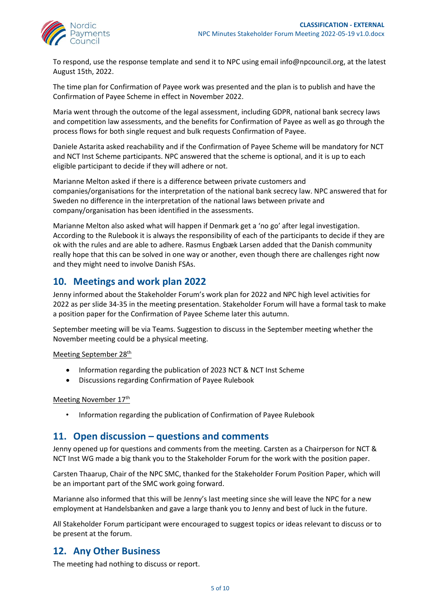

To respond, use the response template and send it to NPC using email [info@npcouncil.org,](mailto:info@npcouncil.org) at the latest August 15th, 2022.

The time plan for Confirmation of Payee work was presented and the plan is to publish and have the Confirmation of Payee Scheme in effect in November 2022.

Maria went through the outcome of the legal assessment, including GDPR, national bank secrecy laws and competition law assessments, and the benefits for Confirmation of Payee as well as go through the process flows for both single request and bulk requests Confirmation of Payee.

Daniele Astarita asked reachability and if the Confirmation of Payee Scheme will be mandatory for NCT and NCT Inst Scheme participants. NPC answered that the scheme is optional, and it is up to each eligible participant to decide if they will adhere or not.

Marianne Melton asked if there is a difference between private customers and companies/organisations for the interpretation of the national bank secrecy law. NPC answered that for Sweden no difference in the interpretation of the national laws between private and company/organisation has been identified in the assessments.

Marianne Melton also asked what will happen if Denmark get a 'no go' after legal investigation. According to the Rulebook it is always the responsibility of each of the participants to decide if they are ok with the rules and are able to adhere. Rasmus Engbæk Larsen added that the Danish community really hope that this can be solved in one way or another, even though there are challenges right now and they might need to involve Danish FSAs.

#### **10. Meetings and work plan 2022**

Jenny informed about the Stakeholder Forum's work plan for 2022 and NPC high level activities for 2022 as per slide 34-35 in the meeting presentation. Stakeholder Forum will have a formal task to make a position paper for the Confirmation of Payee Scheme later this autumn.

September meeting will be via Teams. Suggestion to discuss in the September meeting whether the November meeting could be a physical meeting.

#### Meeting September 28<sup>th</sup>

- Information regarding the publication of 2023 NCT & NCT Inst Scheme
- Discussions regarding Confirmation of Payee Rulebook

#### Meeting November 17<sup>th</sup>

• Information regarding the publication of Confirmation of Payee Rulebook

#### **11. Open discussion – questions and comments**

Jenny opened up for questions and comments from the meeting. Carsten as a Chairperson for NCT & NCT Inst WG made a big thank you to the Stakeholder Forum for the work with the position paper.

Carsten Thaarup, Chair of the NPC SMC, thanked for the Stakeholder Forum Position Paper, which will be an important part of the SMC work going forward.

Marianne also informed that this will be Jenny's last meeting since she will leave the NPC for a new employment at Handelsbanken and gave a large thank you to Jenny and best of luck in the future.

All Stakeholder Forum participant were encouraged to suggest topics or ideas relevant to discuss or to be present at the forum.

#### **12. Any Other Business**

The meeting had nothing to discuss or report.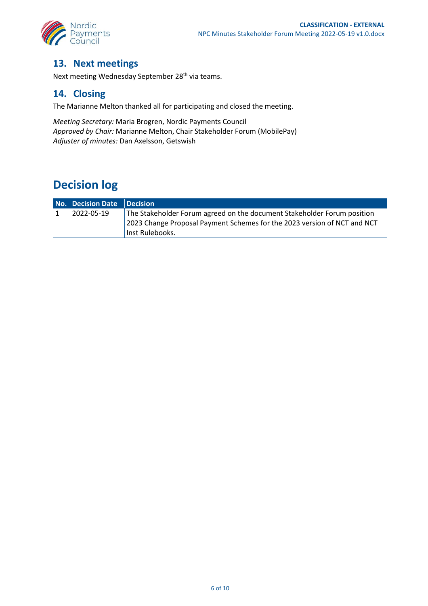



## **13. Next meetings**

Next meeting Wednesday September 28<sup>th</sup> via teams.

#### **14. Closing**

The Marianne Melton thanked all for participating and closed the meeting.

*Meeting Secretary:* Maria Brogren, Nordic Payments Council *Approved by Chair:* Marianne Melton, Chair Stakeholder Forum (MobilePay) *Adjuster of minutes:* Dan Axelsson, Getswish

## **Decision log**

| No. Decision Date Decision |                                                                          |
|----------------------------|--------------------------------------------------------------------------|
| 2022-05-19                 | The Stakeholder Forum agreed on the document Stakeholder Forum position  |
|                            | 2023 Change Proposal Payment Schemes for the 2023 version of NCT and NCT |
|                            | Inst Rulebooks.                                                          |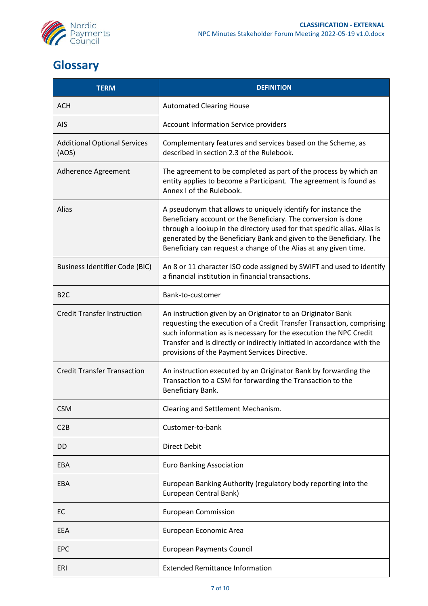

# **Glossary**

| <b>TERM</b>                                  | <b>DEFINITION</b>                                                                                                                                                                                                                                                                                                                                      |
|----------------------------------------------|--------------------------------------------------------------------------------------------------------------------------------------------------------------------------------------------------------------------------------------------------------------------------------------------------------------------------------------------------------|
| <b>ACH</b>                                   | <b>Automated Clearing House</b>                                                                                                                                                                                                                                                                                                                        |
| <b>AIS</b>                                   | Account Information Service providers                                                                                                                                                                                                                                                                                                                  |
| <b>Additional Optional Services</b><br>(AOS) | Complementary features and services based on the Scheme, as<br>described in section 2.3 of the Rulebook.                                                                                                                                                                                                                                               |
| Adherence Agreement                          | The agreement to be completed as part of the process by which an<br>entity applies to become a Participant. The agreement is found as<br>Annex I of the Rulebook.                                                                                                                                                                                      |
| Alias                                        | A pseudonym that allows to uniquely identify for instance the<br>Beneficiary account or the Beneficiary. The conversion is done<br>through a lookup in the directory used for that specific alias. Alias is<br>generated by the Beneficiary Bank and given to the Beneficiary. The<br>Beneficiary can request a change of the Alias at any given time. |
| <b>Business Identifier Code (BIC)</b>        | An 8 or 11 character ISO code assigned by SWIFT and used to identify<br>a financial institution in financial transactions.                                                                                                                                                                                                                             |
| B <sub>2</sub> C                             | Bank-to-customer                                                                                                                                                                                                                                                                                                                                       |
| <b>Credit Transfer Instruction</b>           | An instruction given by an Originator to an Originator Bank<br>requesting the execution of a Credit Transfer Transaction, comprising<br>such information as is necessary for the execution the NPC Credit<br>Transfer and is directly or indirectly initiated in accordance with the<br>provisions of the Payment Services Directive.                  |
| <b>Credit Transfer Transaction</b>           | An instruction executed by an Originator Bank by forwarding the<br>Transaction to a CSM for forwarding the Transaction to the<br>Beneficiary Bank.                                                                                                                                                                                                     |
| <b>CSM</b>                                   | Clearing and Settlement Mechanism.                                                                                                                                                                                                                                                                                                                     |
| C2B                                          | Customer-to-bank                                                                                                                                                                                                                                                                                                                                       |
| DD                                           | <b>Direct Debit</b>                                                                                                                                                                                                                                                                                                                                    |
| EBA                                          | <b>Euro Banking Association</b>                                                                                                                                                                                                                                                                                                                        |
| EBA                                          | European Banking Authority (regulatory body reporting into the<br>European Central Bank)                                                                                                                                                                                                                                                               |
| EC                                           | <b>European Commission</b>                                                                                                                                                                                                                                                                                                                             |
| EEA                                          | European Economic Area                                                                                                                                                                                                                                                                                                                                 |
| <b>EPC</b>                                   | <b>European Payments Council</b>                                                                                                                                                                                                                                                                                                                       |
| ERI                                          | <b>Extended Remittance Information</b>                                                                                                                                                                                                                                                                                                                 |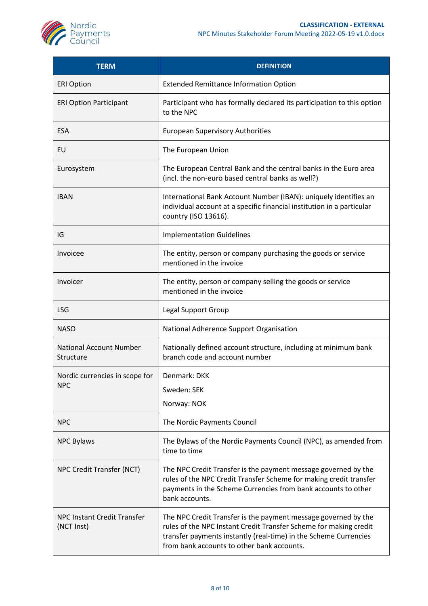

| <b>TERM</b>                                 | <b>DEFINITION</b>                                                                                                                                                                                                                                     |
|---------------------------------------------|-------------------------------------------------------------------------------------------------------------------------------------------------------------------------------------------------------------------------------------------------------|
| <b>ERI Option</b>                           | <b>Extended Remittance Information Option</b>                                                                                                                                                                                                         |
| <b>ERI Option Participant</b>               | Participant who has formally declared its participation to this option<br>to the NPC                                                                                                                                                                  |
| <b>ESA</b>                                  | <b>European Supervisory Authorities</b>                                                                                                                                                                                                               |
| EU                                          | The European Union                                                                                                                                                                                                                                    |
| Eurosystem                                  | The European Central Bank and the central banks in the Euro area<br>(incl. the non-euro based central banks as well?)                                                                                                                                 |
| <b>IBAN</b>                                 | International Bank Account Number (IBAN): uniquely identifies an<br>individual account at a specific financial institution in a particular<br>country (ISO 13616).                                                                                    |
| IG                                          | <b>Implementation Guidelines</b>                                                                                                                                                                                                                      |
| Invoicee                                    | The entity, person or company purchasing the goods or service<br>mentioned in the invoice                                                                                                                                                             |
| Invoicer                                    | The entity, person or company selling the goods or service<br>mentioned in the invoice                                                                                                                                                                |
| <b>LSG</b>                                  | <b>Legal Support Group</b>                                                                                                                                                                                                                            |
| <b>NASO</b>                                 | National Adherence Support Organisation                                                                                                                                                                                                               |
| <b>National Account Number</b><br>Structure | Nationally defined account structure, including at minimum bank<br>branch code and account number                                                                                                                                                     |
| Nordic currencies in scope for              | Denmark: DKK                                                                                                                                                                                                                                          |
| <b>NPC</b>                                  | Sweden: SEK                                                                                                                                                                                                                                           |
|                                             | Norway: NOK                                                                                                                                                                                                                                           |
| <b>NPC</b>                                  | The Nordic Payments Council                                                                                                                                                                                                                           |
| <b>NPC Bylaws</b>                           | The Bylaws of the Nordic Payments Council (NPC), as amended from<br>time to time                                                                                                                                                                      |
| NPC Credit Transfer (NCT)                   | The NPC Credit Transfer is the payment message governed by the<br>rules of the NPC Credit Transfer Scheme for making credit transfer<br>payments in the Scheme Currencies from bank accounts to other<br>bank accounts.                               |
| NPC Instant Credit Transfer<br>(NCT Inst)   | The NPC Credit Transfer is the payment message governed by the<br>rules of the NPC Instant Credit Transfer Scheme for making credit<br>transfer payments instantly (real-time) in the Scheme Currencies<br>from bank accounts to other bank accounts. |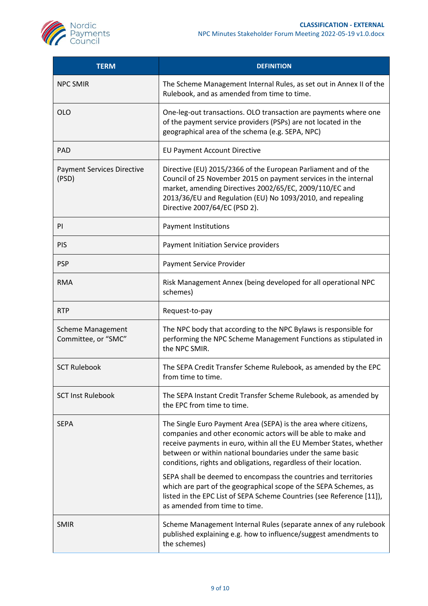

| <b>TERM</b>                                     | <b>DEFINITION</b>                                                                                                                                                                                                                                                                                                                        |
|-------------------------------------------------|------------------------------------------------------------------------------------------------------------------------------------------------------------------------------------------------------------------------------------------------------------------------------------------------------------------------------------------|
| <b>NPC SMIR</b>                                 | The Scheme Management Internal Rules, as set out in Annex II of the<br>Rulebook, and as amended from time to time.                                                                                                                                                                                                                       |
| <b>OLO</b>                                      | One-leg-out transactions. OLO transaction are payments where one<br>of the payment service providers (PSPs) are not located in the<br>geographical area of the schema (e.g. SEPA, NPC)                                                                                                                                                   |
| PAD                                             | <b>EU Payment Account Directive</b>                                                                                                                                                                                                                                                                                                      |
| <b>Payment Services Directive</b><br>(PSD)      | Directive (EU) 2015/2366 of the European Parliament and of the<br>Council of 25 November 2015 on payment services in the internal<br>market, amending Directives 2002/65/EC, 2009/110/EC and<br>2013/36/EU and Regulation (EU) No 1093/2010, and repealing<br>Directive 2007/64/EC (PSD 2).                                              |
| PI                                              | <b>Payment Institutions</b>                                                                                                                                                                                                                                                                                                              |
| PIS                                             | Payment Initiation Service providers                                                                                                                                                                                                                                                                                                     |
| <b>PSP</b>                                      | Payment Service Provider                                                                                                                                                                                                                                                                                                                 |
| <b>RMA</b>                                      | Risk Management Annex (being developed for all operational NPC<br>schemes)                                                                                                                                                                                                                                                               |
| <b>RTP</b>                                      | Request-to-pay                                                                                                                                                                                                                                                                                                                           |
| <b>Scheme Management</b><br>Committee, or "SMC" | The NPC body that according to the NPC Bylaws is responsible for<br>performing the NPC Scheme Management Functions as stipulated in<br>the NPC SMIR.                                                                                                                                                                                     |
| <b>SCT Rulebook</b>                             | The SEPA Credit Transfer Scheme Rulebook, as amended by the EPC<br>from time to time.                                                                                                                                                                                                                                                    |
| <b>SCT Inst Rulebook</b>                        | The SEPA Instant Credit Transfer Scheme Rulebook, as amended by<br>the EPC from time to time.                                                                                                                                                                                                                                            |
| <b>SEPA</b>                                     | The Single Euro Payment Area (SEPA) is the area where citizens,<br>companies and other economic actors will be able to make and<br>receive payments in euro, within all the EU Member States, whether<br>between or within national boundaries under the same basic<br>conditions, rights and obligations, regardless of their location. |
|                                                 | SEPA shall be deemed to encompass the countries and territories<br>which are part of the geographical scope of the SEPA Schemes, as<br>listed in the EPC List of SEPA Scheme Countries (see Reference [11]),<br>as amended from time to time.                                                                                            |
| <b>SMIR</b>                                     | Scheme Management Internal Rules (separate annex of any rulebook<br>published explaining e.g. how to influence/suggest amendments to<br>the schemes)                                                                                                                                                                                     |